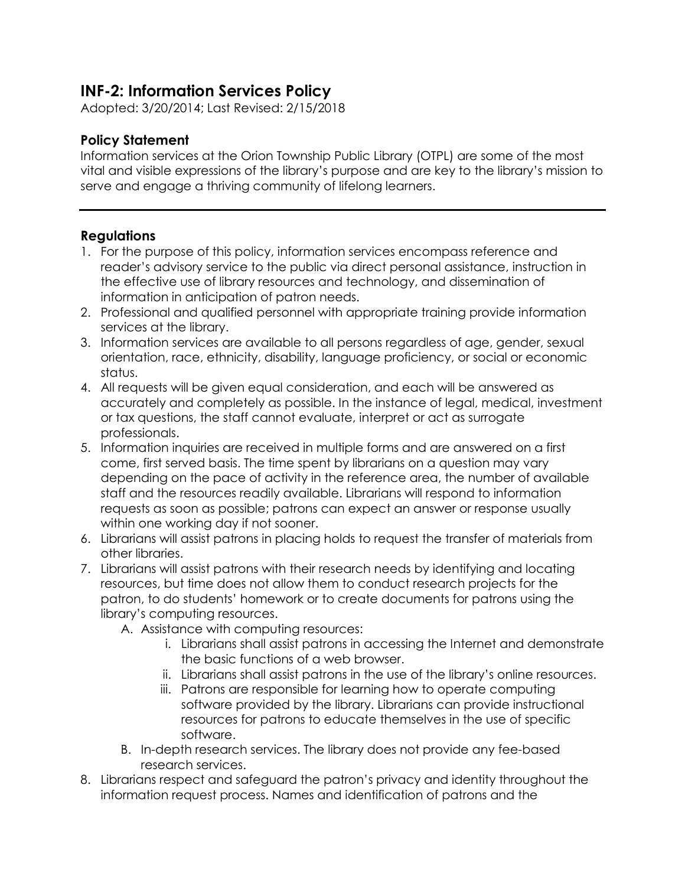## **INF-2: Information Services Policy**

Adopted: 3/20/2014; Last Revised: 2/15/2018

## **Policy Statement**

Information services at the Orion Township Public Library (OTPL) are some of the most vital and visible expressions of the library's purpose and are key to the library's mission to serve and engage a thriving community of lifelong learners.

## **Regulations**

- 1. For the purpose of this policy, information services encompass reference and reader's advisory service to the public via direct personal assistance, instruction in the effective use of library resources and technology, and dissemination of information in anticipation of patron needs.
- 2. Professional and qualified personnel with appropriate training provide information services at the library.
- 3. Information services are available to all persons regardless of age, gender, sexual orientation, race, ethnicity, disability, language proficiency, or social or economic status.
- 4. All requests will be given equal consideration, and each will be answered as accurately and completely as possible. In the instance of legal, medical, investment or tax questions, the staff cannot evaluate, interpret or act as surrogate professionals.
- 5. Information inquiries are received in multiple forms and are answered on a first come, first served basis. The time spent by librarians on a question may vary depending on the pace of activity in the reference area, the number of available staff and the resources readily available. Librarians will respond to information requests as soon as possible; patrons can expect an answer or response usually within one working day if not sooner.
- 6. Librarians will assist patrons in placing holds to request the transfer of materials from other libraries.
- 7. Librarians will assist patrons with their research needs by identifying and locating resources, but time does not allow them to conduct research projects for the patron, to do students' homework or to create documents for patrons using the library's computing resources.
	- A. Assistance with computing resources:
		- i. Librarians shall assist patrons in accessing the Internet and demonstrate the basic functions of a web browser.
		- ii. Librarians shall assist patrons in the use of the library's online resources.
		- iii. Patrons are responsible for learning how to operate computing software provided by the library. Librarians can provide instructional resources for patrons to educate themselves in the use of specific software.
	- B. In-depth research services. The library does not provide any fee-based research services.
- 8. Librarians respect and safeguard the patron's privacy and identity throughout the information request process. Names and identification of patrons and the